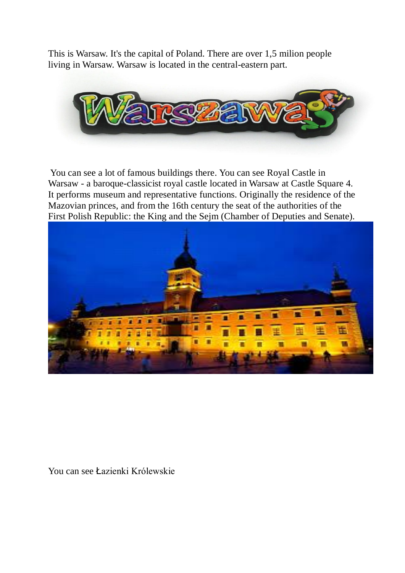This is Warsaw. It's the capital of Poland. There are over 1,5 milion people living in Warsaw. Warsaw is located in the central-eastern part.



You can see a lot of famous buildings there. You can see Royal Castle in Warsaw - a baroque-classicist royal castle located in Warsaw at Castle Square 4. It performs museum and representative functions. Originally the residence of the Mazovian princes, and from the 16th century the seat of the authorities of the First Polish Republic: the King and the Sejm (Chamber of Deputies and Senate).



You can see Łazienki Królewskie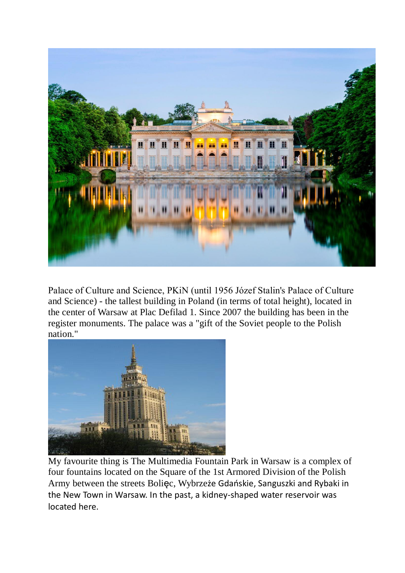

Palace of Culture and Science, PKiN (until 1956 Józef Stalin's Palace of Culture and Science) - the tallest building in Poland (in terms of total height), located in the center of Warsaw at Plac Defilad 1. Since 2007 the building has been in the register monuments. The palace was a "gift of the Soviet people to the Polish nation."



My favourite thing is The Multimedia Fountain Park in Warsaw is a complex of four fountains located on the Square of the 1st Armored Division of the Polish Army between the streets Bolięc, Wybrzeże Gdańskie, Sanguszki and Rybaki in the New Town in Warsaw. In the past, a kidney-shaped water reservoir was located here.